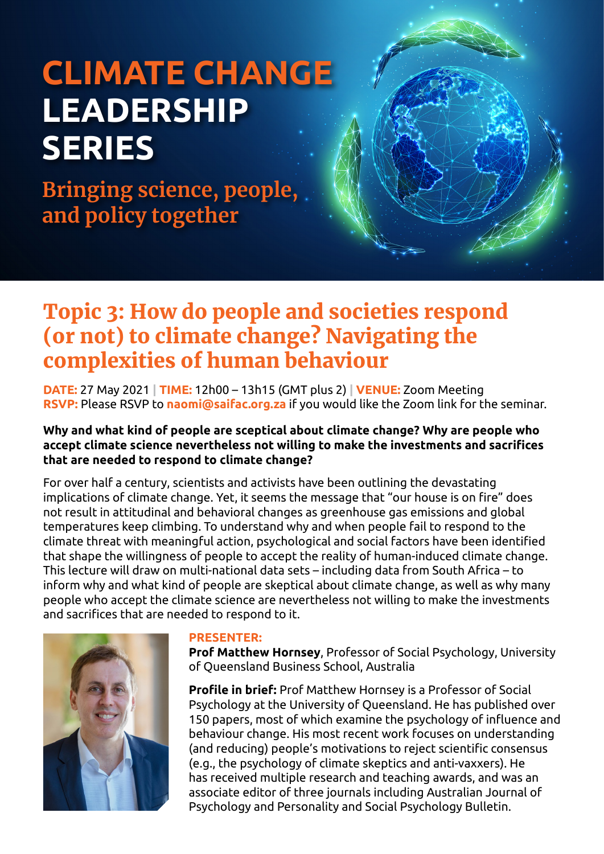# **CLIMATE CHANGE LEADERSHIP SERIES**

**Bringing science, people, and policy together**

# Topic 3: How do people and societies respond (or not) to climate change? Navigating the complexities of human behaviour

**DATE:** 27 May 2021 **| TIME:** 12h00 – 13h15 (GMT plus 2) **| VENUE:** Zoom Meeting **RSVP:** Please RSVP to **[naomi@saifac.org.za](mailto:naomi@saifac.org.za)** if you would like the Zoom link for the seminar.

#### **Why and what kind of people are sceptical about climate change? Why are people who accept climate science nevertheless not willing to make the investments and sacrifices that are needed to respond to climate change?**

For over half a century, scientists and activists have been outlining the devastating implications of climate change. Yet, it seems the message that "our house is on fire" does not result in attitudinal and behavioral changes as greenhouse gas emissions and global temperatures keep climbing. To understand why and when people fail to respond to the climate threat with meaningful action, psychological and social factors have been identified that shape the willingness of people to accept the reality of human-induced climate change. This lecture will draw on multi-national data sets – including data from South Africa – to inform why and what kind of people are skeptical about climate change, as well as why many people who accept the climate science are nevertheless not willing to make the investments and sacrifices that are needed to respond to it.



#### **PRESENTER:**

**Prof Matthew Hornsey**, Professor of Social Psychology, University of Queensland Business School, Australia

**Profile in brief:** Prof Matthew Hornsey is a Professor of Social Psychology at the University of Queensland. He has published over 150 papers, most of which examine the psychology of influence and behaviour change. His most recent work focuses on understanding (and reducing) people's motivations to reject scientific consensus (e.g., the psychology of climate skeptics and anti-vaxxers). He has received multiple research and teaching awards, and was an associate editor of three journals including Australian Journal of Psychology and Personality and Social Psychology Bulletin.